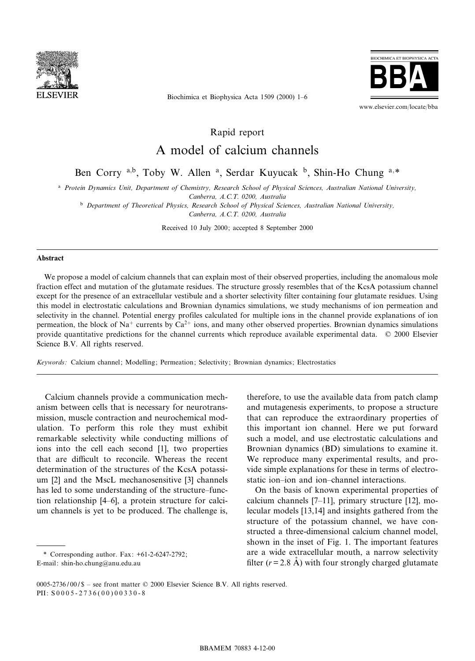

**BIOCHIMICA ET BIOPHYSICA ACTA** 

www.elsevier.com/locate/bba

Biochimica et Biophysica Acta 1509 (2000) 1^6

Rapid report

## A model of calcium channels

Ben Corry a,b, Toby W. Allen <sup>a</sup>, Serdar Kuyucak <sup>b</sup>, Shin-Ho Chung a,\*

<sup>a</sup> Protein Dynamics Unit, Department of Chemistry, Research School of Physical Sciences, Australian National University, Canberra, A.C.T. 0200, Australia

**b** Department of Theoretical Physics, Research School of Physical Sciences, Australian National University, Canberra, A.C.T. 0200, Australia

Received 10 July 2000; accepted 8 September 2000

## Abstract

We propose a model of calcium channels that can explain most of their observed properties, including the anomalous mole fraction effect and mutation of the glutamate residues. The structure grossly resembles that of the KcsA potassium channel except for the presence of an extracellular vestibule and a shorter selectivity filter containing four glutamate residues. Using this model in electrostatic calculations and Brownian dynamics simulations, we study mechanisms of ion permeation and selectivity in the channel. Potential energy profiles calculated for multiple ions in the channel provide explanations of ion permeation, the block of Na<sup>+</sup> currents by Ca<sup>2+</sup> ions, and many other observed properties. Brownian dynamics simulations provide quantitative predictions for the channel currents which reproduce available experimental data.  $\oslash$  2000 Elsevier Science B.V. All rights reserved.

Keywords : Calcium channel; Modelling; Permeation; Selectivity; Brownian dynamics; Electrostatics

Calcium channels provide a communication mechanism between cells that is necessary for neurotransmission, muscle contraction and neurochemical modulation. To perform this role they must exhibit remarkable selectivity while conducting millions of ions into the cell each second [1], two properties that are difficult to reconcile. Whereas the recent determination of the structures of the KcsA potassium [2] and the MscL mechanosensitive [3] channels has led to some understanding of the structure-function relationship [4^6], a protein structure for calcium channels is yet to be produced. The challenge is,

\* Corresponding author. Fax: +61-2-6247-2792; E-mail: shin-ho.chung@anu.edu.au

therefore, to use the available data from patch clamp and mutagenesis experiments, to propose a structure that can reproduce the extraordinary properties of this important ion channel. Here we put forward such a model, and use electrostatic calculations and Brownian dynamics (BD) simulations to examine it. We reproduce many experimental results, and provide simple explanations for these in terms of electrostatic ion-ion and ion-channel interactions.

On the basis of known experimental properties of calcium channels [7^11], primary structure [12], molecular models [13,14] and insights gathered from the structure of the potassium channel, we have constructed a three-dimensional calcium channel model, shown in the inset of Fig. 1. The important features are a wide extracellular mouth, a narrow selectivity filter ( $r = 2.8$  Å) with four strongly charged glutamate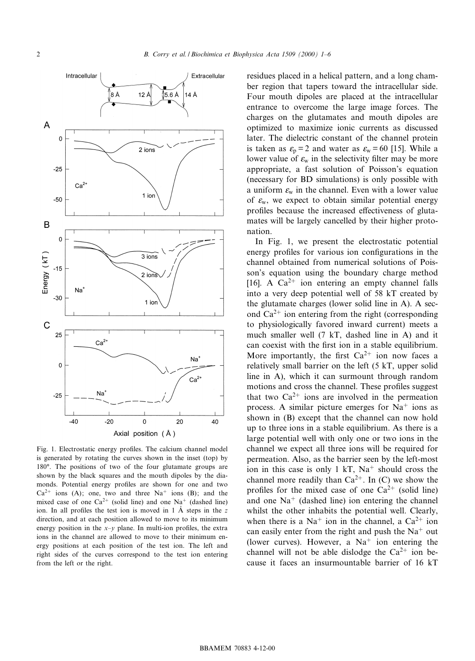

Fig. 1. Electrostatic energy profiles. The calcium channel model is generated by rotating the curves shown in the inset (top) by 180°. The positions of two of the four glutamate groups are shown by the black squares and the mouth dipoles by the diamonds. Potential energy profiles are shown for one and two  $Ca^{2+}$  ions (A); one, two and three Na<sup>+</sup> ions (B); and the mixed case of one  $Ca^{2+}$  (solid line) and one Na<sup>+</sup> (dashed line) ion. In all profiles the test ion is moved in 1  $\AA$  steps in the z direction, and at each position allowed to move to its minimum energy position in the  $x-y$  plane. In multi-ion profiles, the extra ions in the channel are allowed to move to their minimum energy positions at each position of the test ion. The left and right sides of the curves correspond to the test ion entering from the left or the right.

residues placed in a helical pattern, and a long chamber region that tapers toward the intracellular side. Four mouth dipoles are placed at the intracellular entrance to overcome the large image forces. The charges on the glutamates and mouth dipoles are optimized to maximize ionic currents as discussed later. The dielectric constant of the channel protein is taken as  $\varepsilon_p = 2$  and water as  $\varepsilon_w = 60$  [15]. While a lower value of  $\varepsilon_w$  in the selectivity filter may be more appropriate, a fast solution of Poisson's equation (necessary for BD simulations) is only possible with a uniform  $\varepsilon_w$  in the channel. Even with a lower value of  $\varepsilon_{\rm w}$ , we expect to obtain similar potential energy profiles because the increased effectiveness of glutamates will be largely cancelled by their higher protonation.

In Fig. 1, we present the electrostatic potential energy profiles for various ion configurations in the channel obtained from numerical solutions of Poisson's equation using the boundary charge method [16]. A  $Ca^{2+}$  ion entering an empty channel falls into a very deep potential well of 58 kT created by the glutamate charges (lower solid line in A). A second  $Ca^{2+}$  ion entering from the right (corresponding to physiologically favored inward current) meets a much smaller well (7 kT, dashed line in A) and it can coexist with the first ion in a stable equilibrium. More importantly, the first  $Ca^{2+}$  ion now faces a relatively small barrier on the left (5 kT, upper solid line in A), which it can surmount through random motions and cross the channel. These profiles suggest that two  $Ca^{2+}$  ions are involved in the permeation process. A similar picture emerges for  $Na<sup>+</sup>$  ions as shown in (B) except that the channel can now hold up to three ions in a stable equilibrium. As there is a large potential well with only one or two ions in the channel we expect all three ions will be required for permeation. Also, as the barrier seen by the left-most ion in this case is only 1 kT,  $Na<sup>+</sup>$  should cross the channel more readily than  $Ca^{2+}$ . In (C) we show the profiles for the mixed case of one  $Ca^{2+}$  (solid line) and one  $Na<sup>+</sup>$  (dashed line) ion entering the channel whilst the other inhabits the potential well. Clearly, when there is a Na<sup>+</sup> ion in the channel, a Ca<sup>2+</sup> ion can easily enter from the right and push the  $Na<sup>+</sup>$  out (lower curves). However, a  $Na<sup>+</sup>$  ion entering the channel will not be able dislodge the  $Ca^{2+}$  ion because it faces an insurmountable barrier of 16 kT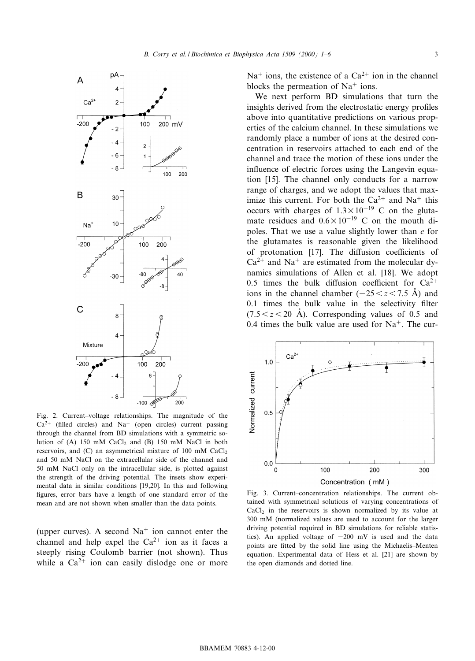

Fig. 2. Current-voltage relationships. The magnitude of the  $Ca<sup>2+</sup>$  (filled circles) and Na<sup>+</sup> (open circles) current passing through the channel from BD simulations with a symmetric solution of  $(A)$  150 mM CaCl<sub>2</sub> and  $(B)$  150 mM NaCl in both reservoirs, and  $(C)$  an asymmetrical mixture of 100 mM CaCl<sub>2</sub> and 50 mM NaCl on the extracellular side of the channel and 50 mM NaCl only on the intracellular side, is plotted against the strength of the driving potential. The insets show experimental data in similar conditions [19,20]. In this and following figures, error bars have a length of one standard error of the mean and are not shown when smaller than the data points.

(upper curves). A second  $Na<sup>+</sup>$  ion cannot enter the channel and help expel the  $Ca^{2+}$  ion as it faces a steeply rising Coulomb barrier (not shown). Thus while a  $Ca^{2+}$  ion can easily dislodge one or more  $Na<sup>+</sup>$  ions, the existence of a Ca<sup>2+</sup> ion in the channel blocks the permeation of  $Na<sup>+</sup>$  ions.

We next perform BD simulations that turn the insights derived from the electrostatic energy profiles above into quantitative predictions on various properties of the calcium channel. In these simulations we randomly place a number of ions at the desired concentration in reservoirs attached to each end of the channel and trace the motion of these ions under the influence of electric forces using the Langevin equation [15]. The channel only conducts for a narrow range of charges, and we adopt the values that maximize this current. For both the  $Ca^{2+}$  and Na<sup>+</sup> this occurs with charges of  $1.3 \times 10^{-19}$  C on the glutamate residues and  $0.6 \times 10^{-19}$  C on the mouth dipoles. That we use a value slightly lower than e for the glutamates is reasonable given the likelihood of protonation [17]. The diffusion coefficients of  $Ca^{2+}$  and Na<sup>+</sup> are estimated from the molecular dynamics simulations of Allen et al. [18]. We adopt 0.5 times the bulk diffusion coefficient for  $Ca^{2+}$ ions in the channel chamber  $(-25 < z < 7.5 \text{ Å})$  and  $0.1$  times the bulk value in the selectivity filter  $(7.5 < z < 20$  Å). Corresponding values of 0.5 and 0.4 times the bulk value are used for  $Na<sup>+</sup>$ . The cur-



Fig. 3. Current-concentration relationships. The current obtained with symmetrical solutions of varying concentrations of  $CaCl<sub>2</sub>$  in the reservoirs is shown normalized by its value at 300 mM (normalized values are used to account for the larger driving potential required in BD simulations for reliable statistics). An applied voltage of  $-200$  mV is used and the data points are fitted by the solid line using the Michaelis-Menten equation. Experimental data of Hess et al. [21] are shown by the open diamonds and dotted line.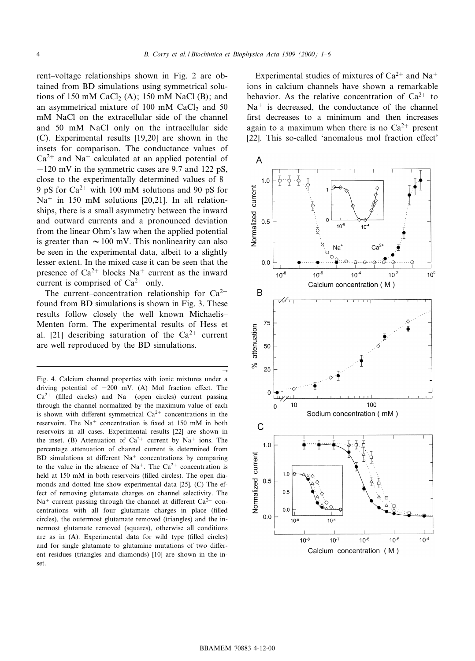$\rightarrow$ 

rent-voltage relationships shown in Fig. 2 are obtained from BD simulations using symmetrical solutions of 150 mM CaCl<sub>2</sub> (A); 150 mM NaCl (B); and an asymmetrical mixture of  $100$  mM CaCl<sub>2</sub> and  $50$ mM NaCl on the extracellular side of the channel and 50 mM NaCl only on the intracellular side (C). Experimental results [19,20] are shown in the insets for comparison. The conductance values of  $Ca^{2+}$  and Na<sup>+</sup> calculated at an applied potential of  $-120$  mV in the symmetric cases are 9.7 and 122 pS, close to the experimentally determined values of 8^ 9 pS for  $Ca^{2+}$  with 100 mM solutions and 90 pS for  $Na<sup>+</sup>$  in 150 mM solutions [20,21]. In all relationships, there is a small asymmetry between the inward and outward currents and a pronounced deviation from the linear Ohm's law when the applied potential is greater than  $\sim$  100 mV. This nonlinearity can also be seen in the experimental data, albeit to a slightly lesser extent. In the mixed case it can be seen that the presence of  $Ca^{2+}$  blocks Na<sup>+</sup> current as the inward current is comprised of  $Ca^{2+}$  only.

The current-concentration relationship for  $Ca^{2+}$ found from BD simulations is shown in Fig. 3. These results follow closely the well known Michaelis^ Menten form. The experimental results of Hess et al. [21] describing saturation of the  $Ca^{2+}$  current are well reproduced by the BD simulations.

Experimental studies of mixtures of  $Ca^{2+}$  and Na<sup>+</sup> ions in calcium channels have shown a remarkable behavior. As the relative concentration of  $Ca^{2+}$  to  $Na<sup>+</sup>$  is decreased, the conductance of the channel first decreases to a minimum and then increases again to a maximum when there is no  $Ca^{2+}$  present [22]. This so-called 'anomalous mol fraction effect'



Fig. 4. Calcium channel properties with ionic mixtures under a driving potential of  $-200$  mV. (A) Mol fraction effect. The  $Ca<sup>2+</sup>$  (filled circles) and Na<sup>+</sup> (open circles) current passing through the channel normalized by the maximum value of each is shown with different symmetrical  $Ca^{2+}$  concentrations in the reservoirs. The  $Na<sup>+</sup>$  concentration is fixed at 150 mM in both reservoirs in all cases. Experimental results [22] are shown in the inset. (B) Attenuation of  $Ca^{2+}$  current by Na<sup>+</sup> ions. The percentage attenuation of channel current is determined from BD simulations at different  $Na<sup>+</sup>$  concentrations by comparing to the value in the absence of Na<sup>+</sup>. The Ca<sup>2+</sup> concentration is held at 150 mM in both reservoirs (filled circles). The open diamonds and dotted line show experimental data [25]. (C) The effect of removing glutamate charges on channel selectivity. The  $Na<sup>+</sup>$  current passing through the channel at different  $Ca<sup>2+</sup>$  concentrations with all four glutamate charges in place (filled circles), the outermost glutamate removed (triangles) and the innermost glutamate removed (squares), otherwise all conditions are as in  $(A)$ . Experimental data for wild type (filled circles) and for single glutamate to glutamine mutations of two different residues (triangles and diamonds) [10] are shown in the inset.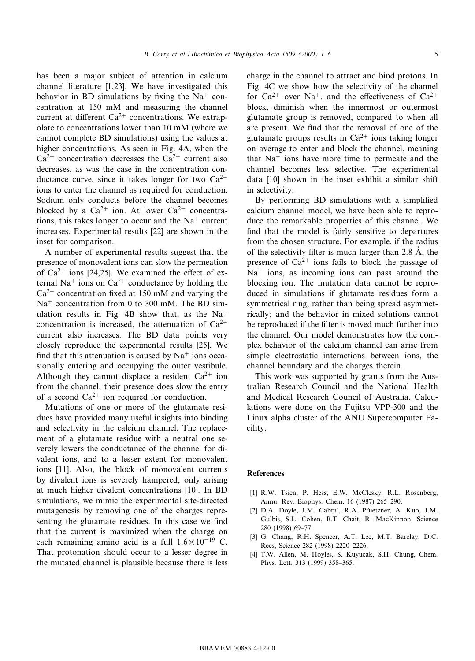has been a major subject of attention in calcium channel literature [1,23]. We have investigated this behavior in BD simulations by fixing the  $Na<sup>+</sup>$  concentration at 150 mM and measuring the channel current at different  $Ca^{2+}$  concentrations. We extrapolate to concentrations lower than 10 mM (where we cannot complete BD simulations) using the values at higher concentrations. As seen in Fig. 4A, when the  $Ca^{2+}$  concentration decreases the  $Ca^{2+}$  current also decreases, as was the case in the concentration conductance curve, since it takes longer for two  $Ca^{2+}$ ions to enter the channel as required for conduction. Sodium only conducts before the channel becomes blocked by a  $Ca^{2+}$  ion. At lower  $Ca^{2+}$  concentrations, this takes longer to occur and the  $Na<sup>+</sup>$  current increases. Experimental results [22] are shown in the inset for comparison.

A number of experimental results suggest that the presence of monovalent ions can slow the permeation of  $Ca^{2+}$  ions [24,25]. We examined the effect of external Na<sup>+</sup> ions on Ca<sup>2+</sup> conductance by holding the  $Ca^{2+}$  concentration fixed at 150 mM and varying the  $Na<sup>+</sup>$  concentration from 0 to 300 mM. The BD simulation results in Fig. 4B show that, as the  $Na<sup>+</sup>$ concentration is increased, the attenuation of  $Ca^{2+}$ current also increases. The BD data points very closely reproduce the experimental results [25]. We find that this attenuation is caused by  $Na<sup>+</sup>$  ions occasionally entering and occupying the outer vestibule. Although they cannot displace a resident  $Ca^{2+}$  ion from the channel, their presence does slow the entry of a second  $Ca^{2+}$  ion required for conduction.

Mutations of one or more of the glutamate residues have provided many useful insights into binding and selectivity in the calcium channel. The replacement of a glutamate residue with a neutral one severely lowers the conductance of the channel for divalent ions, and to a lesser extent for monovalent ions [11]. Also, the block of monovalent currents by divalent ions is severely hampered, only arising at much higher divalent concentrations [10]. In BD simulations, we mimic the experimental site-directed mutagenesis by removing one of the charges representing the glutamate residues. In this case we find that the current is maximized when the charge on each remaining amino acid is a full  $1.6 \times 10^{-19}$  C. That protonation should occur to a lesser degree in the mutated channel is plausible because there is less

charge in the channel to attract and bind protons. In Fig. 4C we show how the selectivity of the channel for  $Ca^{2+}$  over Na<sup>+</sup>, and the effectiveness of  $Ca^{2+}$ block, diminish when the innermost or outermost glutamate group is removed, compared to when all are present. We find that the removal of one of the glutamate groups results in  $Ca^{2+}$  ions taking longer on average to enter and block the channel, meaning that  $Na<sup>+</sup>$  ions have more time to permeate and the channel becomes less selective. The experimental data [10] shown in the inset exhibit a similar shift in selectivity.

By performing BD simulations with a simplified calcium channel model, we have been able to reproduce the remarkable properties of this channel. We find that the model is fairly sensitive to departures from the chosen structure. For example, if the radius of the selectivity filter is much larger than 2.8  $\AA$ , the presence of  $Ca^{2+}$  ions fails to block the passage of  $Na<sup>+</sup>$  ions, as incoming ions can pass around the blocking ion. The mutation data cannot be reproduced in simulations if glutamate residues form a symmetrical ring, rather than being spread asymmetrically; and the behavior in mixed solutions cannot be reproduced if the filter is moved much further into the channel. Our model demonstrates how the complex behavior of the calcium channel can arise from simple electrostatic interactions between ions, the channel boundary and the charges therein.

This work was supported by grants from the Australian Research Council and the National Health and Medical Research Council of Australia. Calculations were done on the Fujitsu VPP-300 and the Linux alpha cluster of the ANU Supercomputer Facility.

## References

- [1] R.W. Tsien, P. Hess, E.W. McClesky, R.L. Rosenberg, Annu. Rev. Biophys. Chem. 16 (1987) 265^290.
- [2] D.A. Doyle, J.M. Cabral, R.A. Pfuetzner, A. Kuo, J.M. Gulbis, S.L. Cohen, B.T. Chait, R. MacKinnon, Science 280 (1998) 69^77.
- [3] G. Chang, R.H. Spencer, A.T. Lee, M.T. Barclay, D.C. Rees, Science 282 (1998) 2220-2226.
- [4] T.W. Allen, M. Hoyles, S. Kuyucak, S.H. Chung, Chem. Phys. Lett. 313 (1999) 358-365.